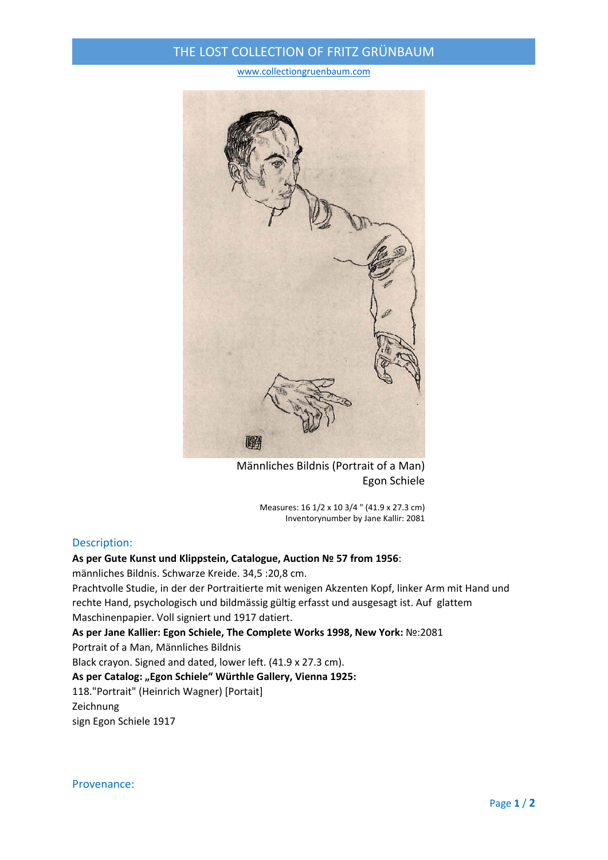## THE LOST COLLECTION OF FRITZ GRÜNBAUM

www.collectiongruenbaum.com



Männliches Bildnis (Portrait of a Man) Egon Schiele

Measures: 16 1/2 x 10 3/4 " (41.9 x 27.3 cm) Inventorynumber by Jane Kallir: 2081

## Description:

## **As per Gute Kunst und Klippstein, Catalogue, Auction № 57 from 1956**:

männliches Bildnis. Schwarze Kreide. 34,5 :20,8 cm.

Prachtvolle Studie, in der der Portraitierte mit wenigen Akzenten Kopf, linker Arm mit Hand und rechte Hand, psychologisch und bildmässig gültig erfasst und ausgesagt ist. Auf glattem Maschinenpapier. Voll signiert und 1917 datiert.

**As per Jane Kallier: Egon Schiele, The Complete Works 1998, New York:** №:2081 Portrait of a Man, Männliches Bildnis

Black crayon. Signed and dated, lower left. (41.9 x 27.3 cm).

**As per Catalog: "Egon Schiele" Würthle Gallery, Vienna 1925:**

118."Portrait" (Heinrich Wagner) [Portait]

Zeichnung

sign Egon Schiele 1917